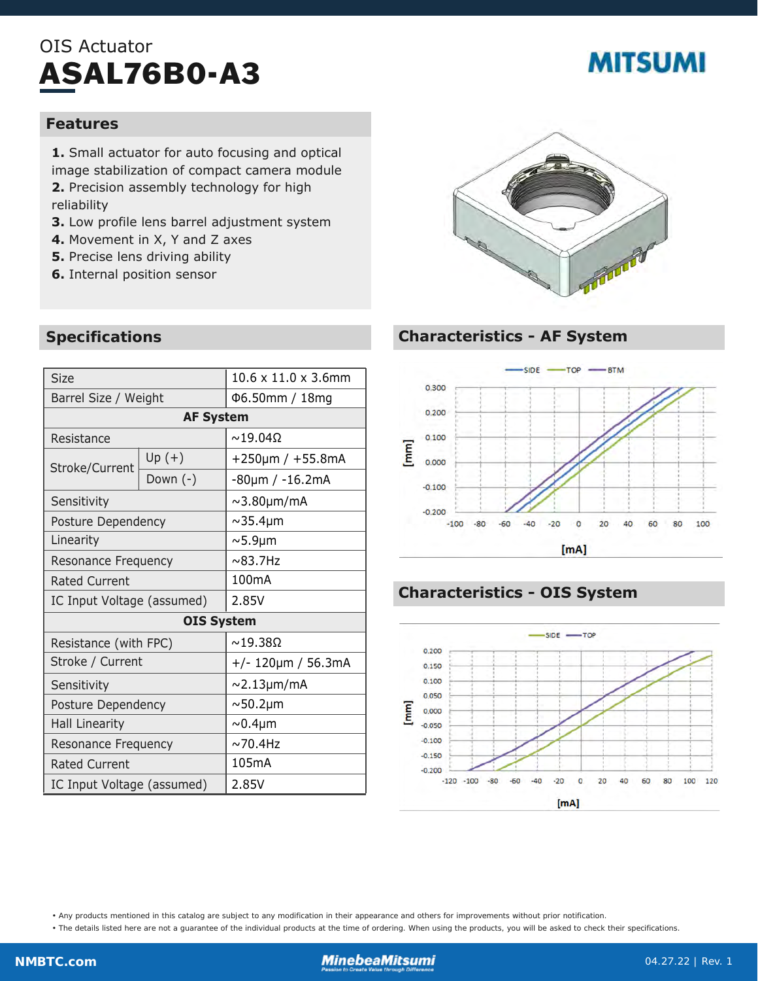## OIS Actuator ASAL76B0-A3

# **MITSUMI**

#### **Features**

**1.** Small actuator for auto focusing and optical image stabilization of compact camera module **2.** Precision assembly technology for high reliability

- **3.** Low profile lens barrel adjustment system
- **4.** Movement in X, Y and Z axes
- **5.** Precise lens driving ability
- **6.** Internal position sensor



#### **Characteristics - AF System**



#### **Characteristics - OIS System**



• Any products mentioned in this catalog are subject to any modification in their appearance and others for improvements without prior notification.

• The details listed here are not a guarantee of the individual products at the time of ordering. When using the products, you will be asked to check their specifications.

#### **Specifications**

| <b>Size</b>                |          | $10.6 \times 11.0 \times 3.6$ mm |
|----------------------------|----------|----------------------------------|
| Barrel Size / Weight       |          | Φ6.50mm / 18mg                   |
| <b>AF System</b>           |          |                                  |
| Resistance                 |          | $\sim$ 19.04 $\Omega$            |
| Stroke/Current             | $Up (+)$ | $+250 \mu m / +55.8 mA$          |
|                            | Down (-) | -80µm / -16.2mA                  |
| Sensitivity                |          | $\sim$ 3.80 $\mu$ m/mA           |
| Posture Dependency         |          | $\sim$ 35.4 $\mu$ m              |
| Linearity                  |          | $\sim$ 5.9µm                     |
| Resonance Frequency        |          | $\sim$ 83.7Hz                    |
| <b>Rated Current</b>       |          | 100 <sub>m</sub> A               |
| IC Input Voltage (assumed) |          | 2.85V                            |
| <b>OIS System</b>          |          |                                  |
| Resistance (with FPC)      |          | $\sim$ 19.38 $\Omega$            |
| Stroke / Current           |          | $+/- 120 \mu m / 56.3 mA$        |
| Sensitivity                |          | $\sim$ 2.13µm/mA                 |
| Posture Dependency         |          | $\sim$ 50.2 $\mu$ m              |
| <b>Hall Linearity</b>      |          | $\sim 0.4 \mu m$                 |
| Resonance Frequency        |          | $\sim$ 70.4Hz                    |
| <b>Rated Current</b>       |          | 105mA                            |
| IC Input Voltage (assumed) |          | 2.85V                            |